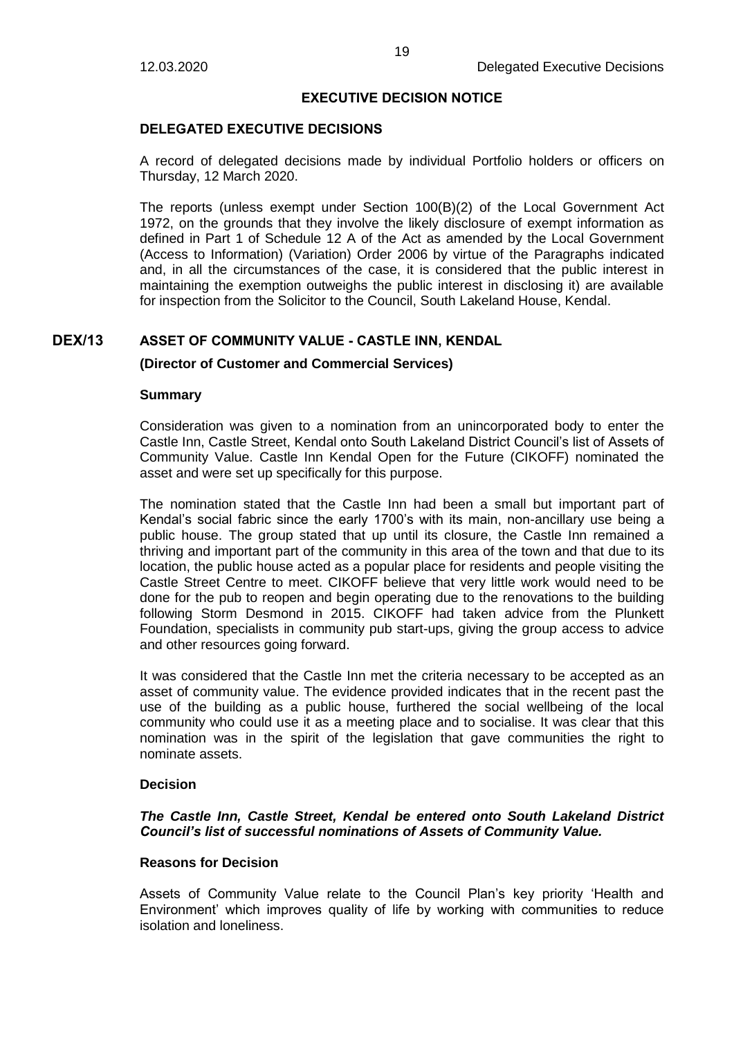#### **EXECUTIVE DECISION NOTICE**

# **DELEGATED EXECUTIVE DECISIONS**

A record of delegated decisions made by individual Portfolio holders or officers on Thursday, 12 March 2020.

The reports (unless exempt under Section 100(B)(2) of the Local Government Act 1972, on the grounds that they involve the likely disclosure of exempt information as defined in Part 1 of Schedule 12 A of the Act as amended by the Local Government (Access to Information) (Variation) Order 2006 by virtue of the Paragraphs indicated and, in all the circumstances of the case, it is considered that the public interest in maintaining the exemption outweighs the public interest in disclosing it) are available for inspection from the Solicitor to the Council, South Lakeland House, Kendal.

# **DEX/13 ASSET OF COMMUNITY VALUE - CASTLE INN, KENDAL**

#### **(Director of Customer and Commercial Services)**

#### **Summary**

Consideration was given to a nomination from an unincorporated body to enter the Castle Inn, Castle Street, Kendal onto South Lakeland District Council's list of Assets of Community Value. Castle Inn Kendal Open for the Future (CIKOFF) nominated the asset and were set up specifically for this purpose.

The nomination stated that the Castle Inn had been a small but important part of Kendal's social fabric since the early 1700's with its main, non-ancillary use being a public house. The group stated that up until its closure, the Castle Inn remained a thriving and important part of the community in this area of the town and that due to its location, the public house acted as a popular place for residents and people visiting the Castle Street Centre to meet. CIKOFF believe that very little work would need to be done for the pub to reopen and begin operating due to the renovations to the building following Storm Desmond in 2015. CIKOFF had taken advice from the Plunkett Foundation, specialists in community pub start-ups, giving the group access to advice and other resources going forward.

It was considered that the Castle Inn met the criteria necessary to be accepted as an asset of community value. The evidence provided indicates that in the recent past the use of the building as a public house, furthered the social wellbeing of the local community who could use it as a meeting place and to socialise. It was clear that this nomination was in the spirit of the legislation that gave communities the right to nominate assets.

#### **Decision**

## *The Castle Inn, Castle Street, Kendal be entered onto South Lakeland District Council's list of successful nominations of Assets of Community Value.*

# **Reasons for Decision**

Assets of Community Value relate to the Council Plan's key priority 'Health and Environment' which improves quality of life by working with communities to reduce isolation and loneliness.